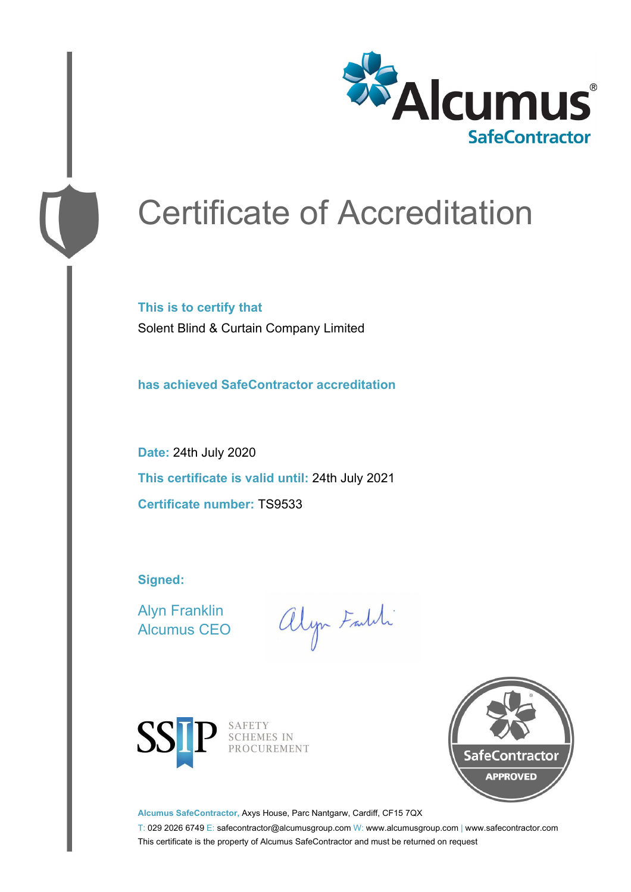

# Certificate of Accreditation

**This is to certify that** Solent Blind & Curtain Company Limited

**has achieved SafeContractor accreditation**

**Date:** 24th July 2020 **This certificate is valid until:** 24th July 2021 **Certificate number:** TS9533

**Signed:**

Alyn Franklin Alcumus CEO

alyn Faldi



SAFETY<br>SCHEMES IN PROCUREMENT



**Alcumus SafeContractor,** Axys House, Parc Nantgarw, Cardiff, CF15 7QX

T: 029 2026 6749 E: safecontractor@alcumusgroup.com W: www.alcumusgroup.com | www.safecontractor.com This certificate is the property of Alcumus SafeContractor and must be returned on request